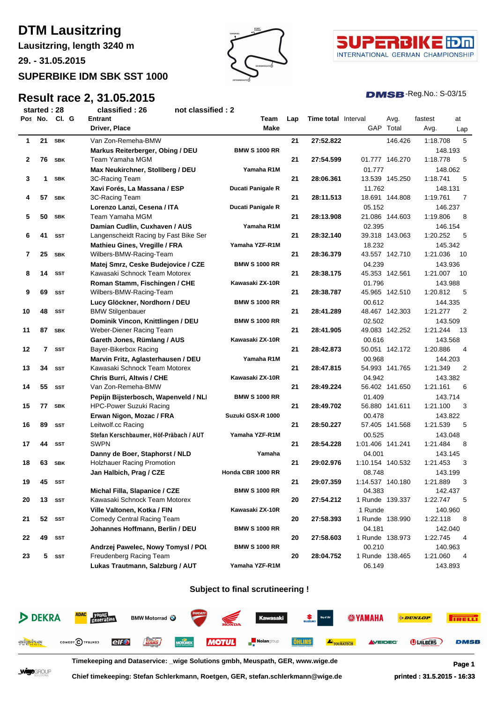# **DTM Lausitzring**

**Lausitzring, length 3240 m**

**29. - 31.05.2015**

## **SUPERBIKE IDM SBK SST 1000**

## **Result race 2, 31.05.2015**





#### $DMSB$ -Reg.No.:  $S-03/15$

| started: 28 |               | classified: 26 |                                                                     | not classified : 2 |                                                                  |     |                            |                           |                |                          |      |
|-------------|---------------|----------------|---------------------------------------------------------------------|--------------------|------------------------------------------------------------------|-----|----------------------------|---------------------------|----------------|--------------------------|------|
|             | Pos No. Cl. G |                | Entrant                                                             |                    | Team                                                             | Lap | <b>Time total</b> Interval |                           | Avg.           | fastest                  | at   |
|             |               |                | Driver, Place                                                       |                    | Make                                                             |     |                            |                           | GAP Total      | Avg.                     | Lap  |
| 1           | 21            | <b>SBK</b>     | Van Zon-Remeha-BMW                                                  |                    |                                                                  | 21  | 27:52.822                  |                           | 146.426        | 1:18.708                 | 5    |
|             |               |                | Markus Reiterberger, Obing / DEU                                    |                    | <b>BMW S 1000 RR</b>                                             |     |                            |                           |                | 148.193                  |      |
| 2           | 76            | <b>SBK</b>     | Team Yamaha MGM                                                     |                    |                                                                  | 21  | 27:54.599                  |                           | 01.777 146.270 | 1:18.778                 | 5    |
|             |               |                | Max Neukirchner, Stollberg / DEU                                    |                    | Yamaha R1M                                                       |     |                            | 01.777                    |                | 148.062                  |      |
| 3           | 1             | <b>SBK</b>     | 3C-Racing Team                                                      |                    |                                                                  | 21  | 28:06.361                  |                           | 13.539 145.250 | 1:18.741                 | 5    |
|             |               |                | Xavi Forés, La Massana / ESP                                        |                    | Ducati Panigale R                                                |     |                            | 11.762                    |                | 148.131                  |      |
| 4           | 57            | <b>SBK</b>     | 3C-Racing Team                                                      |                    |                                                                  | 21  | 28:11.513                  |                           | 18.691 144.808 | 1:19.761                 | 7    |
|             |               |                | Lorenzo Lanzi, Cesena / ITA                                         |                    |                                                                  |     |                            |                           |                | 146.237                  |      |
| 5           | 50            | <b>SBK</b>     | Team Yamaha MGM                                                     |                    | 05.152<br>Ducati Panigale R<br>21<br>28:13.908<br>21.086 144.603 |     | 1:19.806                   | 8                         |                |                          |      |
|             |               |                | Damian Cudlin, Cuxhaven / AUS                                       |                    | Yamaha R1M                                                       |     |                            | 02.395                    |                | 146.154                  |      |
| 6           | 41            | <b>SST</b>     | Langenscheidt Racing by Fast Bike Ser                               |                    |                                                                  | 21  | 28:32.140                  |                           | 39.318 143.063 | 1:20.252                 | 5    |
|             |               |                |                                                                     |                    | Yamaha YZF-R1M                                                   |     |                            | 18.232                    |                | 145.342                  |      |
| 7           | 25            | <b>SBK</b>     | Mathieu Gines, Vregille / FRA                                       |                    |                                                                  | 21  | 28:36.379                  |                           | 43.557 142.710 | 1:21.036                 | 10   |
|             |               |                | Wilbers-BMW-Racing-Team                                             |                    |                                                                  |     |                            |                           |                |                          |      |
|             |               |                | Matej Smrz, Ceske Budejovice / CZE<br>Kawasaki Schnock Team Motorex |                    | <b>BMW S 1000 RR</b>                                             |     |                            | 04.239                    |                | 143.936                  |      |
| 8           | 14            | <b>SST</b>     |                                                                     |                    |                                                                  | 21  | 28:38.175                  |                           | 45.353 142.561 | 1:21.007                 | - 10 |
|             |               |                | Roman Stamm, Fischingen / CHE                                       |                    | Kawasaki ZX-10R                                                  |     |                            | 01.796                    |                | 143.988                  |      |
| 9           | 69            | <b>SST</b>     | Wilbers-BMW-Racing-Team                                             |                    |                                                                  | 21  | 28:38.787                  |                           | 45.965 142.510 | 1:20.812                 | 5    |
|             |               |                | Lucy Glöckner, Nordhorn / DEU                                       |                    | <b>BMW S 1000 RR</b>                                             |     |                            | 00.612                    |                | 144.335                  |      |
| 10          | 48            | <b>SST</b>     | <b>BMW Stilgenbauer</b>                                             |                    |                                                                  | 21  | 28:41.289                  |                           | 48.467 142.303 | 1:21.277                 | 2    |
|             |               |                | Dominik Vincon, Knittlingen / DEU                                   |                    | <b>BMW S 1000 RR</b>                                             |     |                            | 02.502                    |                | 143.509                  |      |
| 11          | 87            | <b>SBK</b>     | Weber-Diener Racing Team                                            |                    |                                                                  | 21  | 28:41.905                  |                           | 49.083 142.252 | 1:21.244                 | - 13 |
|             |               |                | Gareth Jones, Rümlang / AUS                                         |                    | Kawasaki ZX-10R                                                  |     |                            | 00.616                    |                | 143.568                  |      |
| 12          | 7             | <b>SST</b>     | Bayer-Bikerbox Racing                                               |                    |                                                                  | 21  | 28:42.873                  |                           | 50.051 142.172 | 1:20.886                 | 4    |
|             |               |                | Marvin Fritz, Aglasterhausen / DEU                                  |                    | Yamaha R1M                                                       |     |                            | 00.968                    |                | 144.203                  |      |
| 13          | 34            | <b>SST</b>     | Kawasaki Schnock Team Motorex                                       |                    |                                                                  | 21  | 28:47.815                  |                           | 54.993 141.765 | 1:21.349                 | 2    |
|             |               |                | <b>Chris Burri, Altwis / CHE</b>                                    |                    | Kawasaki ZX-10R                                                  |     |                            | 04.942                    |                | 143.382                  |      |
| 14          | 55            | <b>SST</b>     | Van Zon-Remeha-BMW                                                  |                    |                                                                  | 21  | 28:49.224                  |                           | 56.402 141.650 | 1:21.161                 | 6    |
|             |               |                | Pepijn Bijsterbosch, Wapenveld / NLI                                |                    | <b>BMW S 1000 RR</b>                                             |     |                            | 01.409                    |                | 143.714                  |      |
| 15          | 77            | <b>SBK</b>     | <b>HPC-Power Suzuki Racing</b>                                      |                    |                                                                  | 21  | 28:49.702                  |                           | 56.880 141.611 | 1:21.100                 | 3    |
|             |               |                | Erwan Nigon, Mozac / FRA                                            |                    | Suzuki GSX-R 1000                                                |     |                            | 00.478                    |                | 143.822                  |      |
| 16          | 89            | <b>SST</b>     | Leitwolf.cc Racing                                                  |                    |                                                                  | 21  | 28:50.227                  |                           | 57.405 141.568 | 1:21.539                 | 5    |
|             |               |                | Stefan Kerschbaumer, Höf-Präbach / AUT                              |                    | Yamaha YZF-R1M                                                   |     |                            | 00.525                    |                | 143.048                  |      |
| 17          | 44            | <b>SST</b>     | SWPN                                                                |                    |                                                                  | 21  | 28:54.228                  | 1:01.406 141.241          |                | 1:21.484                 | 8    |
|             |               |                | Danny de Boer, Staphorst / NLD                                      |                    | Yamaha                                                           |     |                            | 04.001                    |                | 143.145                  |      |
| 18          | 63            | SBK            | <b>Holzhauer Racing Promotion</b>                                   |                    |                                                                  | 21  | 29:02.976                  | 1:10.154 140.532          |                | 1:21.453                 | 3    |
|             |               |                | Jan Halbich, Prag / CZE                                             |                    | Honda CBR 1000 RR                                                |     |                            | 08.748                    |                | 143.199                  |      |
| 19          | 45            | SST            |                                                                     |                    |                                                                  | 21  | 29:07.359                  | 1:14.537 140.180          |                | 1:21.889                 | 3    |
|             |               |                | Michal Filla, Slapanice / CZE<br>Kawasaki Schnock Team Motorex      |                    | <b>BMW S 1000 RR</b>                                             |     |                            | 04.383<br>1 Runde 139.337 |                | 142.437<br>1:22.747      |      |
| 20          | 13            | SST            |                                                                     |                    |                                                                  | 20  | 27:54.212                  |                           |                |                          | 5    |
|             |               |                | Ville Valtonen, Kotka / FIN                                         |                    | Kawasaki ZX-10R                                                  |     |                            | 1 Runde                   |                | 140.960                  |      |
| 21          | 52            | SST            | Comedy Central Racing Team                                          |                    |                                                                  | 20  | 27:58.393                  | 1 Runde 138.990           |                | 1:22.118                 | 8    |
|             |               |                | Johannes Hoffmann, Berlin / DEU                                     |                    | <b>BMW S 1000 RR</b>                                             |     |                            | 04.181                    |                | 142.040                  |      |
| 22          | 49            | SST            |                                                                     |                    |                                                                  | 20  | 27:58.603                  | 1 Runde 138.973           |                | 1:22.745                 | 4    |
|             |               |                | Andrzej Pawelec, Nowy Tomysl / POL                                  |                    | <b>BMW S 1000 RR</b><br>00.210                                   |     | 140.963                    |                           |                |                          |      |
| 23          | 5             | SST            | Freudenberg Racing Team                                             |                    |                                                                  | 20  | 28:04.752                  | 1 Runde 138.465           |                | 1:21.060<br>4<br>143.893 |      |
|             |               |                | Lukas Trautmann, Salzburg / AUT                                     |                    | Yamaha YZF-R1M                                                   |     |                            | 06.149                    |                |                          |      |

#### **Subject to final scrutineering !**



**Timekeeping and Dataservice: \_wige Solutions gmbh, Meuspath, GER, www.wige.de Page 1**

WUCGROUP

**Chief timekeeping: Stefan Schlerkmann, Roetgen, GER, stefan.schlerkmann@wige.de printed : 31.5.2015 - 16:33**